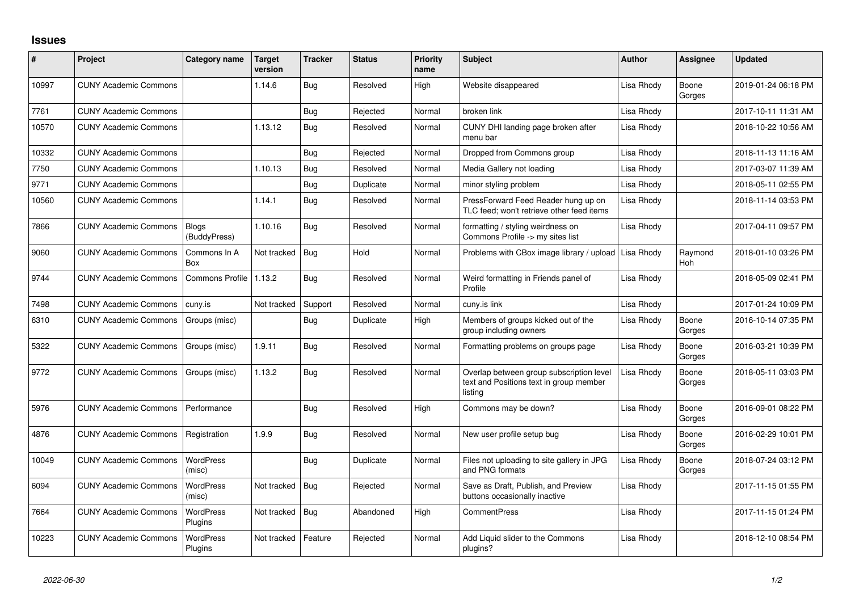## **Issues**

| ∦     | Project                      | Category name                | Target<br>version | <b>Tracker</b> | <b>Status</b> | <b>Priority</b><br>name | <b>Subject</b>                                                                                 | <b>Author</b> | <b>Assignee</b> | <b>Updated</b>      |
|-------|------------------------------|------------------------------|-------------------|----------------|---------------|-------------------------|------------------------------------------------------------------------------------------------|---------------|-----------------|---------------------|
| 10997 | <b>CUNY Academic Commons</b> |                              | 1.14.6            | <b>Bug</b>     | Resolved      | High                    | Website disappeared                                                                            | Lisa Rhody    | Boone<br>Gorges | 2019-01-24 06:18 PM |
| 7761  | <b>CUNY Academic Commons</b> |                              |                   | Bug            | Rejected      | Normal                  | broken link                                                                                    | Lisa Rhody    |                 | 2017-10-11 11:31 AM |
| 10570 | <b>CUNY Academic Commons</b> |                              | 1.13.12           | Bug            | Resolved      | Normal                  | CUNY DHI landing page broken after<br>menu bar                                                 | Lisa Rhody    |                 | 2018-10-22 10:56 AM |
| 10332 | <b>CUNY Academic Commons</b> |                              |                   | Bug            | Rejected      | Normal                  | Dropped from Commons group                                                                     | Lisa Rhody    |                 | 2018-11-13 11:16 AM |
| 7750  | <b>CUNY Academic Commons</b> |                              | 1.10.13           | Bug            | Resolved      | Normal                  | Media Gallery not loading                                                                      | Lisa Rhody    |                 | 2017-03-07 11:39 AM |
| 9771  | <b>CUNY Academic Commons</b> |                              |                   | Bug            | Duplicate     | Normal                  | minor styling problem                                                                          | Lisa Rhody    |                 | 2018-05-11 02:55 PM |
| 10560 | <b>CUNY Academic Commons</b> |                              | 1.14.1            | Bug            | Resolved      | Normal                  | PressForward Feed Reader hung up on<br>TLC feed; won't retrieve other feed items               | Lisa Rhody    |                 | 2018-11-14 03:53 PM |
| 7866  | <b>CUNY Academic Commons</b> | <b>Blogs</b><br>(BuddyPress) | 1.10.16           | Bug            | Resolved      | Normal                  | formatting / styling weirdness on<br>Commons Profile -> my sites list                          | Lisa Rhody    |                 | 2017-04-11 09:57 PM |
| 9060  | <b>CUNY Academic Commons</b> | Commons In A<br>Box          | Not tracked       | Bug            | Hold          | Normal                  | Problems with CBox image library / upload                                                      | Lisa Rhody    | Raymond<br>Hoh  | 2018-01-10 03:26 PM |
| 9744  | <b>CUNY Academic Commons</b> | <b>Commons Profile</b>       | 1.13.2            | Bug            | Resolved      | Normal                  | Weird formatting in Friends panel of<br>Profile                                                | Lisa Rhody    |                 | 2018-05-09 02:41 PM |
| 7498  | <b>CUNY Academic Commons</b> | cuny.is                      | Not tracked       | Support        | Resolved      | Normal                  | cuny.is link                                                                                   | Lisa Rhody    |                 | 2017-01-24 10:09 PM |
| 6310  | <b>CUNY Academic Commons</b> | Groups (misc)                |                   | Bug            | Duplicate     | High                    | Members of groups kicked out of the<br>group including owners                                  | Lisa Rhody    | Boone<br>Gorges | 2016-10-14 07:35 PM |
| 5322  | <b>CUNY Academic Commons</b> | Groups (misc)                | 1.9.11            | <b>Bug</b>     | Resolved      | Normal                  | Formatting problems on groups page                                                             | Lisa Rhody    | Boone<br>Gorges | 2016-03-21 10:39 PM |
| 9772  | <b>CUNY Academic Commons</b> | Groups (misc)                | 1.13.2            | Bug            | Resolved      | Normal                  | Overlap between group subscription level<br>text and Positions text in group member<br>listing | Lisa Rhody    | Boone<br>Gorges | 2018-05-11 03:03 PM |
| 5976  | <b>CUNY Academic Commons</b> | Performance                  |                   | Bug            | Resolved      | Hiah                    | Commons may be down?                                                                           | Lisa Rhody    | Boone<br>Gorges | 2016-09-01 08:22 PM |
| 4876  | <b>CUNY Academic Commons</b> | Registration                 | 1.9.9             | Bug            | Resolved      | Normal                  | New user profile setup bug                                                                     | Lisa Rhody    | Boone<br>Gorges | 2016-02-29 10:01 PM |
| 10049 | <b>CUNY Academic Commons</b> | <b>WordPress</b><br>(misc)   |                   | Bug            | Duplicate     | Normal                  | Files not uploading to site gallery in JPG<br>and PNG formats                                  | Lisa Rhody    | Boone<br>Gorges | 2018-07-24 03:12 PM |
| 6094  | <b>CUNY Academic Commons</b> | <b>WordPress</b><br>(misc)   | Not tracked       | Bug            | Rejected      | Normal                  | Save as Draft, Publish, and Preview<br>buttons occasionally inactive                           | Lisa Rhody    |                 | 2017-11-15 01:55 PM |
| 7664  | <b>CUNY Academic Commons</b> | <b>WordPress</b><br>Plugins  | Not tracked       | Bug            | Abandoned     | High                    | <b>CommentPress</b>                                                                            | Lisa Rhody    |                 | 2017-11-15 01:24 PM |
| 10223 | <b>CUNY Academic Commons</b> | <b>WordPress</b><br>Plugins  | Not tracked       | Feature        | Rejected      | Normal                  | Add Liquid slider to the Commons<br>plugins?                                                   | Lisa Rhody    |                 | 2018-12-10 08:54 PM |